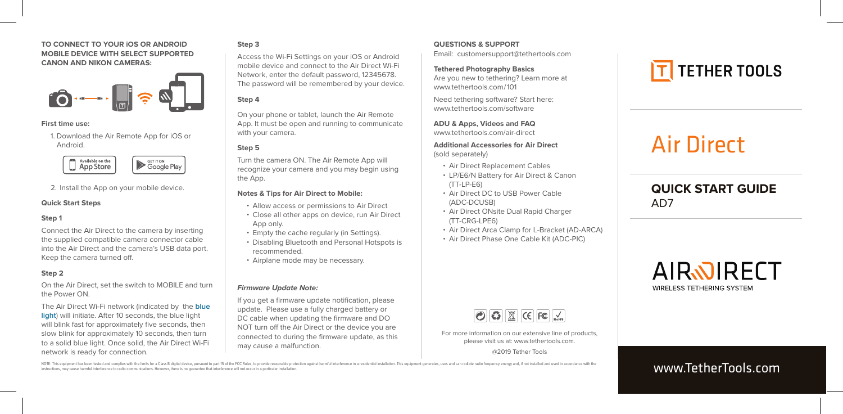#### **TO CONNECT TO YOUR iOS OR ANDROID MOBILE DEVICE WITH SELECT SUPPORTED CANON AND NIKON CAMERAS:**



#### **First time use:**

Air Direct USB C Connection to PC or Mobile - Infographic

Android. 1. Download the Air Remote App for iOS or



2. Install the App on your mobile device.

#### **Quick Start Steps**

#### **Step 1**

Connect the Air Direct to the camera by inserting the supplied compatible camera connector cable into the Air Direct and the camera's USB data port. Keep the camera turned off.

#### **Step 2**

On the Air Direct, set the switch to MOBILE and turn the Power ON.

The Air Direct Wi-Fi network (indicated by the **blue light**) will initiate. After 10 seconds, the blue light will blink fast for approximately five seconds, then slow blink for approximately 10 seconds, then turn to a solid blue light. Once solid, the Air Direct Wi-Fi network is ready for connection.

#### **Step 3**

Access the Wi-Fi Settings on your iOS or Android mobile device and connect to the Air Direct Wi-Fi Network, enter the default password, 12345678. The password will be remembered by your device.

#### **Step 4**

On your phone or tablet, launch the Air Remote App. It must be open and running to communicate with your camera.

#### **Step 5**

Turn the camera ON. The Air Remote App will recognize your camera and you may begin using the App.

#### **Notes & Tips for Air Direct to Mobile:**

- ΅ Allow access or permissions to Air Direct
- Close all other apps on device, run Air Direct App only.
- ΅ Empty the cache regularly (in Settings).
- ΅ Disabling Bluetooth and Personal Hotspots is recommended.
- ΅ Airplane mode may be necessary.

#### **Firmware Update Note:**

If you get a firmware update notification, please update. Please use a fully charged battery or DC cable when updating the firmware and DO NOT turn off the Air Direct or the device you are connected to during the firmware update, as this may cause a malfunction.

#### **QUESTIONS & SUPPORT**

Email: customersupport@tethertools.com

**Tethered Photography Basics** Are you new to tethering? Learn more at www.tethertools.com/101

Need tethering software? Start here: www.tethertools.com/software

**ADU & Apps, Videos and FAQ** www.tethertools.com/air-direct

**Additional Accessories for Air Direct**  (sold separately)

- ΅ Air Direct Replacement Cables
- ΅ LP/E6/N Battery for Air Direct & Canon (TT-LP-E6)
- ΅ Air Direct DC to USB Power Cable (ADC-DCUSB)
- ΅ Air Direct ONsite Dual Rapid Charger (TT-CRG-LPE6)
- ΅ Air Direct Arca Clamp for L-Bracket (AD-ARCA)
- ΅ Air Direct Phase One Cable Kit (ADC-PIC)

# $\bigcirc$   $\bigcirc$   $\bigcirc$   $\bigcirc$   $\bigcirc$   $\bigcirc$   $\bigcirc$   $\bigcirc$   $\bigcirc$   $\bigcirc$   $\bigcirc$   $\bigcirc$   $\bigcirc$   $\bigcirc$   $\bigcirc$   $\bigcirc$   $\bigcirc$   $\bigcirc$   $\bigcirc$   $\bigcirc$   $\bigcirc$   $\bigcirc$   $\bigcirc$   $\bigcirc$   $\bigcirc$   $\bigcirc$   $\bigcirc$   $\bigcirc$   $\bigcirc$   $\bigcirc$   $\bigcirc$   $\bigcirc$   $\bigcirc$   $\bigcirc$   $\bigcirc$   $\bigcirc$   $\bigcirc$

For more information on our extensive line of products, please visit us at: www.tethertools.com.

@2019 Tether Tools

# **T** TETHER TOOLS

# Air Direct

# **QUICK START GUIDE** AD7



# www.TetherTools.com

NOTE: This equipment has been tested and comples with the limits for a Class R digital device, pursuant to part 15 of the ECC Rules to provide reasonable protection against harmful interference in a residential installatio instructions, may cause harmful interference to radio communications. However, there is no guarantee that interference will not occur in a particular installation.